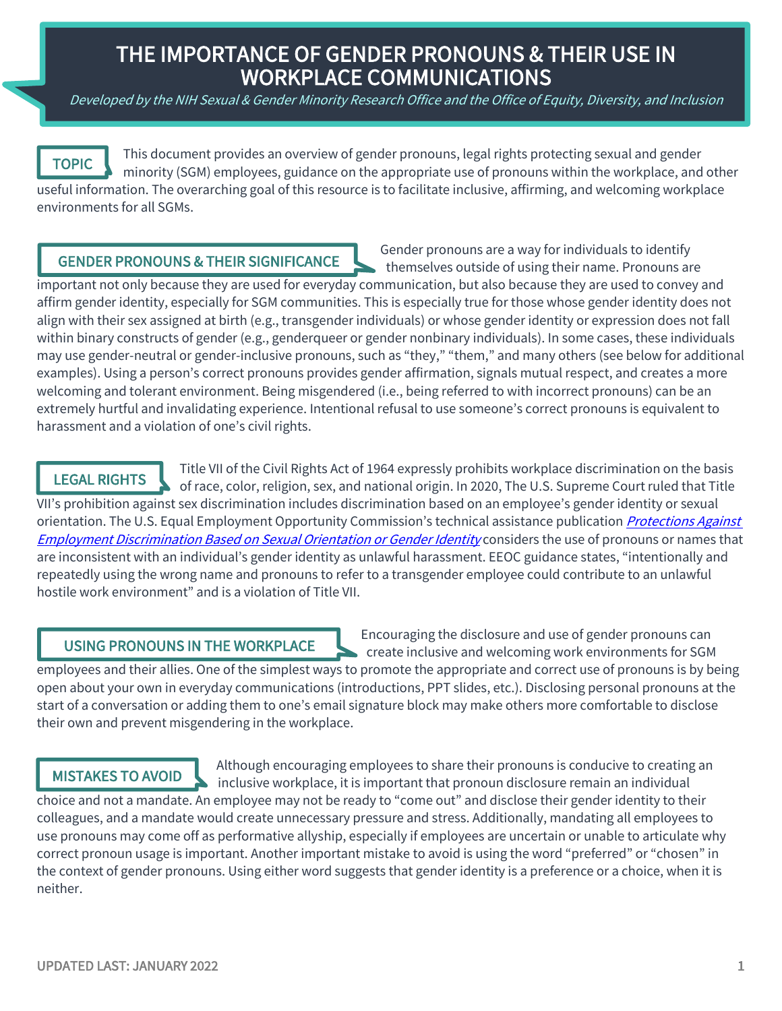# THE IMPORTANCE OF GENDER PRONOUNS & THEIR USE IN WORKPLACE COMMUNICATIONS

Developed by the NIH Sexual & Gender Minority Research Office and the Office of Equity, Diversity, and Inclusion



This document provides an overview of gender pronouns, legal rights protecting sexual and gender minority (SGM) employees, guidance on the appropriate use of pronouns within the workplace, and other useful information. The overarching goal of this resource is to facilitate inclusive, affirming, and welcoming workplace environments for all SGMs.

#### GENDER PRONOUNS & THEIR SIGNIFICANCE

Gender pronouns are a way for individuals to identify themselves outside of using their name. Pronouns are

important not only because they are used for everyday communication, but also because they are used to convey and affirm gender identity, especially for SGM communities. This is especially true for those whose gender identity does not align with their sex assigned at birth (e.g., transgender individuals) or whose gender identity or expression does not fall within binary constructs of gender (e.g., genderqueer or gender nonbinary individuals). In some cases, these individuals may use gender-neutral or gender-inclusive pronouns, such as "they," "them," and many others (see below for additional examples). Using a person's correct pronouns provides gender affirmation, signals mutual respect, and creates a more welcoming and tolerant environment. Being misgendered (i.e., being referred to with incorrect pronouns) can be an extremely hurtful and invalidating experience. Intentional refusal to use someone's correct pronouns is equivalent to harassment and a violation of one's civil rights.

#### LEGAL RIGHTS

Title VII of the Civil Rights Act of 1964 expressly prohibits workplace discrimination on the basis of race, color, religion, sex, and national origin. In 2020, The U.S. Supreme Court ruled that Title VII's prohibition against sex discrimination includes discrimination based on an employee's gender identity or sexual orientation. The U.S. Equal Employment Opportunity Commission's technical assistance publication *Protections Against* Employment Discrimination Based on Sexual Orientation or Gender Identity considers the use of pronouns or names that are inconsistent with an individual's gender identity as unlawful harassment. EEOC guidance states, "intentionally and repeatedly using the wrong name and pronouns to refer to a transgender employee could contribute to an unlawful hostile work environment" and is a violation of Title VII.

#### USING PRONOUNS IN THE WORKPLACE

Encouraging the disclosure and use of gender pronouns can create inclusive and welcoming work environments for SGM

employees and their allies. One of the simplest ways to promote the appropriate and correct use of pronouns is by being open about your own in everyday communications (introductions, PPT slides, etc.). Disclosing personal pronouns at the start of a conversation or adding them to one's email signature block may make others more comfortable to disclose their own and prevent misgendering in the workplace.  $\epsilon$ 

### MISTAKES TO AVOID

Although encouraging employees to share their pronouns is conducive to creating an inclusive workplace, it is important that pronoun disclosure remain an individual

choice and not a mandate. An employee may not be ready to "come out" and disclose their gender identity to their colleagues, and a mandate would create unnecessary pressure and stress. Additionally, mandating all employees to use pronouns may come off as performative allyship, especially if employees are uncertain or unable to articulate why correct pronoun usage is important. Another important mistake to avoid is using the word "preferred" or "chosen" in the context of gender pronouns. Using either word suggests that gender identity is a preference or a choice, when it is neither.